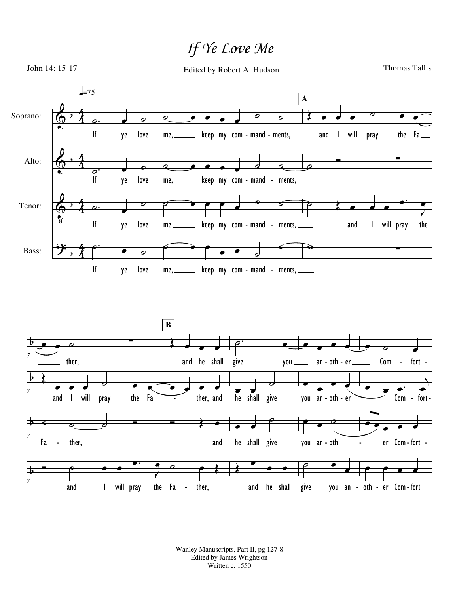## *If Ye Love Me*



Wanley Manuscripts, Part II, pg 127-8 Edited by James Wrightson Written c. 1550

and he shall

give you an oth er Com fort - - -

Fa - ther,

*7*

and

I will pray